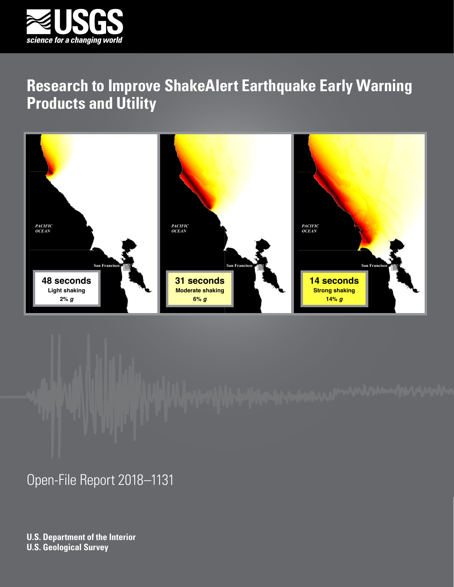





Open-File Report 2018–1131

**U.S. Department of the Interior U.S. Geological Survey**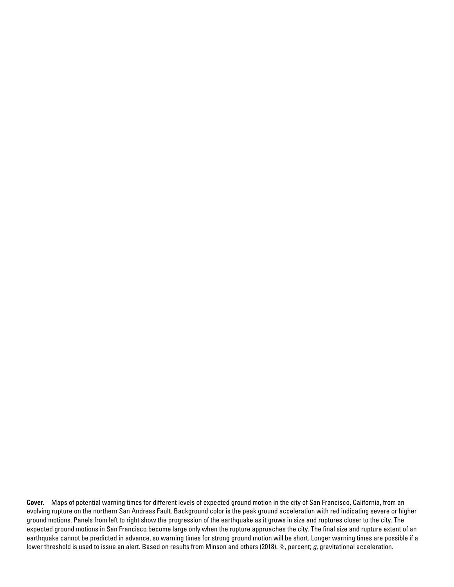**Cover.** Maps of potential warning times for different levels of expected ground motion in the city of San Francisco, California, from an evolving rupture on the northern San Andreas Fault. Background color is the peak ground acceleration with red indicating severe or higher ground motions. Panels from left to right show the progression of the earthquake as it grows in size and ruptures closer to the city. The expected ground motions in San Francisco become large only when the rupture approaches the city. The final size and rupture extent of an earthquake cannot be predicted in advance, so warning times for strong ground motion will be short. Longer warning times are possible if a lower threshold is used to issue an alert. Based on results from Minson and others (2018). %, percent; *g*, gravitational acceleration.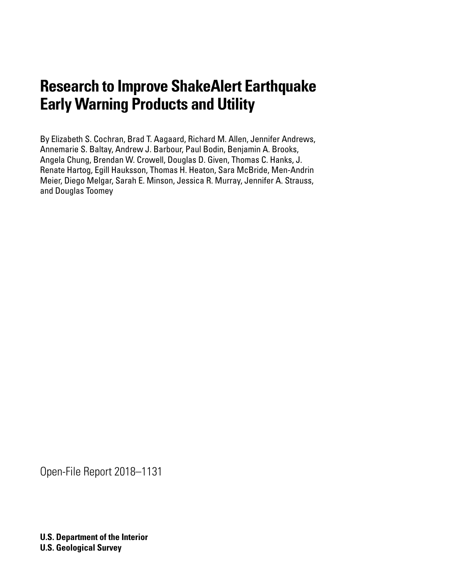By Elizabeth S. Cochran, Brad T. Aagaard, Richard M. Allen, Jennifer Andrews, Annemarie S. Baltay, Andrew J. Barbour, Paul Bodin, Benjamin A. Brooks, Angela Chung, Brendan W. Crowell, Douglas D. Given, Thomas C. Hanks, J. Renate Hartog, Egill Hauksson, Thomas H. Heaton, Sara McBride, Men-Andrin Meier, Diego Melgar, Sarah E. Minson, Jessica R. Murray, Jennifer A. Strauss, and Douglas Toomey

Open-File Report 2018–1131

**U.S. Department of the Interior U.S. Geological Survey**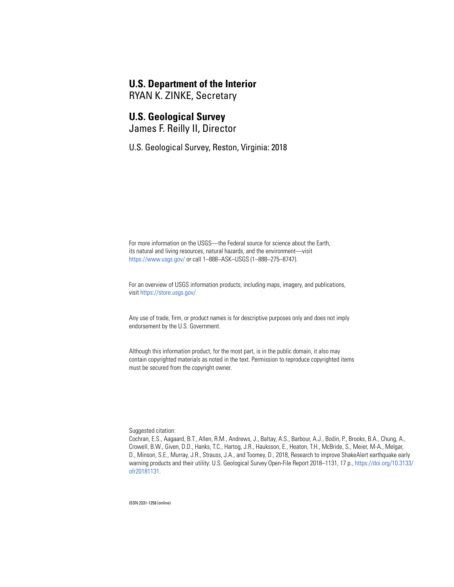### **U.S. Department of the Interior**

RYAN K. ZINKE, Secretary

### **U.S. Geological Survey**

James F. Reilly II, Director

U.S. Geological Survey, Reston, Virginia: 2018

For more information on the USGS—the Federal source for science about the Earth, its natural and living resources, natural hazards, and the environment—visit [https://www.usgs.gov/](https://www.usgs.gov) or call 1–888–ASK–USGS (1–888–275–8747).

For an overview of USGS information products, including maps, imagery, and publications, visit [https://store.usgs.gov/](https://store.usgs.gov).

Any use of trade, firm, or product names is for descriptive purposes only and does not imply endorsement by the U.S. Government.

Although this information product, for the most part, is in the public domain, it also may contain copyrighted materials as noted in the text. Permission to reproduce copyrighted items must be secured from the copyright owner.

Suggested citation:

Cochran, E.S., Aagaard, B.T., Allen, R.M., Andrews, J., Baltay, A.S., Barbour, A.J., Bodin, P., Brooks, B.A., Chung, A., Crowell, B.W., Given, D.D., Hanks, T.C., Hartog, J.R., Hauksson, E., Heaton, T.H., McBride, S., Meier, M-A., Melgar, D., Minson, S.E., Murray, J.R., Strauss, J.A., and Toomey, D., 2018, Research to improve ShakeAlert earthquake early warning products and their utility: U.S. Geological Survey Open-File Report 2018–1131, 17 p., https://doi.org/10.3133/ ofr20181131.

ISSN 2331-1258 (online)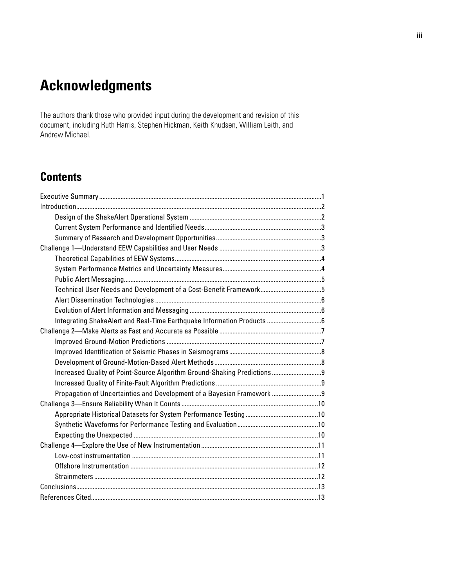# **Acknowledgments**

The authors thank those who provided input during the development and revision of this document, including Ruth Harris, Stephen Hickman, Keith Knudsen, William Leith, and Andrew Michael.

# **Contents**

| Technical User Needs and Development of a Cost-Benefit Framework5        |  |
|--------------------------------------------------------------------------|--|
|                                                                          |  |
|                                                                          |  |
|                                                                          |  |
|                                                                          |  |
|                                                                          |  |
|                                                                          |  |
|                                                                          |  |
| Increased Quality of Point-Source Algorithm Ground-Shaking Predictions 9 |  |
|                                                                          |  |
| Propagation of Uncertainties and Development of a Bayesian Framework  9  |  |
|                                                                          |  |
|                                                                          |  |
|                                                                          |  |
|                                                                          |  |
|                                                                          |  |
|                                                                          |  |
|                                                                          |  |
|                                                                          |  |
|                                                                          |  |
|                                                                          |  |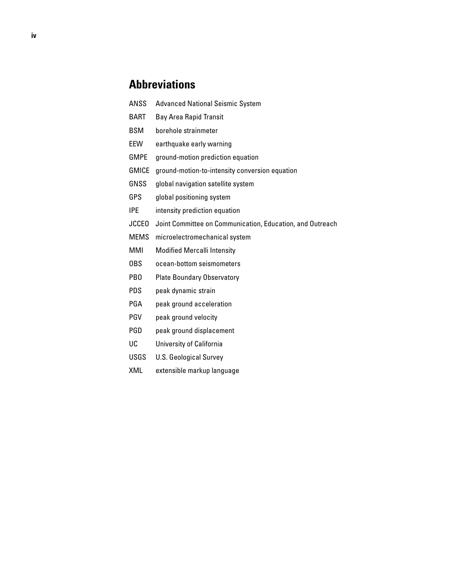### **Abbreviations**

- ANSS Advanced National Seismic System
- BART Bay Area Rapid Transit
- BSM borehole strainmeter
- EEW earthquake early warning
- GMPE ground-motion prediction equation
- GMICE ground-motion-to-intensity conversion equation
- GNSS global navigation satellite system
- GPS global positioning system
- IPE intensity prediction equation
- JCCEO Joint Committee on Communication, Education, and Outreach
- MEMS microelectromechanical system
- MMI Modified Mercalli Intensity
- OBS ocean-bottom seismometers
- PBO Plate Boundary Observatory
- PDS peak dynamic strain
- PGA peak ground acceleration
- PGV peak ground velocity
- PGD peak ground displacement
- UC University of California
- USGS U.S. Geological Survey
- XML extensible markup language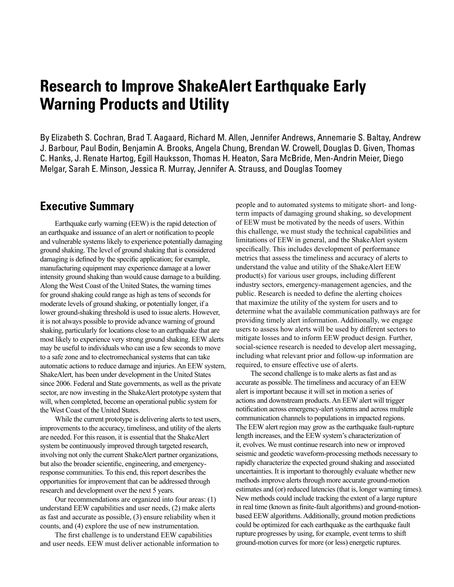<span id="page-6-0"></span>By Elizabeth S. Cochran, Brad T. Aagaard, Richard M. Allen, Jennifer Andrews, Annemarie S. Baltay, Andrew J. Barbour, Paul Bodin, Benjamin A. Brooks, Angela Chung, Brendan W. Crowell, Douglas D. Given, Thomas C. Hanks, J. Renate Hartog, Egill Hauksson, Thomas H. Heaton, Sara McBride, Men-Andrin Meier, Diego Melgar, Sarah E. Minson, Jessica R. Murray, Jennifer A. Strauss, and Douglas Toomey

### **Executive Summary**

Earthquake early warning (EEW) is the rapid detection of an earthquake and issuance of an alert or notification to people and vulnerable systems likely to experience potentially damaging ground shaking. The level of ground shaking that is considered damaging is defined by the specific application; for example, manufacturing equipment may experience damage at a lower intensity ground shaking than would cause damage to a building. Along the West Coast of the United States, the warning times for ground shaking could range as high as tens of seconds for moderate levels of ground shaking, or potentially longer, if a lower ground-shaking threshold is used to issue alerts. However, it is not always possible to provide advance warning of ground shaking, particularly for locations close to an earthquake that are most likely to experience very strong ground shaking. EEW alerts may be useful to individuals who can use a few seconds to move to a safe zone and to electromechanical systems that can take automatic actions to reduce damage and injuries. An EEW system, ShakeAlert, has been under development in the United States since 2006. Federal and State governments, as well as the private sector, are now investing in the ShakeAlert prototype system that will, when completed, become an operational public system for the West Coast of the United States.

While the current prototype is delivering alerts to test users, improvements to the accuracy, timeliness, and utility of the alerts are needed. For this reason, it is essential that the ShakeAlert system be continuously improved through targeted research, involving not only the current ShakeAlert partner organizations, but also the broader scientific, engineering, and emergencyresponse communities. To this end, this report describes the opportunities for improvement that can be addressed through research and development over the next 5 years.

Our recommendations are organized into four areas: (1) understand EEW capabilities and user needs, (2) make alerts as fast and accurate as possible, (3) ensure reliability when it counts, and (4) explore the use of new instrumentation.

The first challenge is to understand EEW capabilities and user needs. EEW must deliver actionable information to people and to automated systems to mitigate short- and longterm impacts of damaging ground shaking, so development of EEW must be motivated by the needs of users. Within this challenge, we must study the technical capabilities and limitations of EEW in general, and the ShakeAlert system specifically. This includes development of performance metrics that assess the timeliness and accuracy of alerts to understand the value and utility of the ShakeAlert EEW product(s) for various user groups, including different industry sectors, emergency-management agencies, and the public. Research is needed to define the alerting choices that maximize the utility of the system for users and to determine what the available communication pathways are for providing timely alert information. Additionally, we engage users to assess how alerts will be used by different sectors to mitigate losses and to inform EEW product design. Further, social-science research is needed to develop alert messaging, including what relevant prior and follow-up information are required, to ensure effective use of alerts.

The second challenge is to make alerts as fast and as accurate as possible. The timeliness and accuracy of an EEW alert is important because it will set in motion a series of actions and downstream products. An EEW alert will trigger notification across emergency-alert systems and across multiple communication channels to populations in impacted regions. The EEW alert region may grow as the earthquake fault-rupture length increases, and the EEW system's characterization of it, evolves. We must continue research into new or improved seismic and geodetic waveform-processing methods necessary to rapidly characterize the expected ground shaking and associated uncertainties. It is important to thoroughly evaluate whether new methods improve alerts through more accurate ground-motion estimates and (or) reduced latencies (that is, longer warning times). New methods could include tracking the extent of a large rupture in real time (known as finite-fault algorithms) and ground-motionbased EEW algorithms. Additionally, ground motion predictions could be optimized for each earthquake as the earthquake fault rupture progresses by using, for example, event terms to shift ground-motion curves for more (or less) energetic ruptures.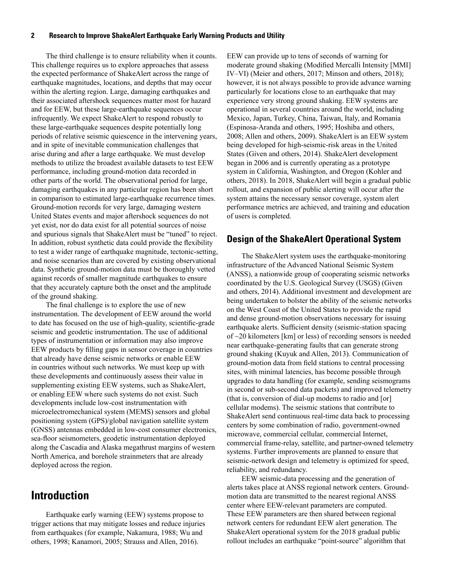<span id="page-7-0"></span>The third challenge is to ensure reliability when it counts. This challenge requires us to explore approaches that assess the expected performance of ShakeAlert across the range of earthquake magnitudes, locations, and depths that may occur within the alerting region. Large, damaging earthquakes and their associated aftershock sequences matter most for hazard and for EEW, but these large-earthquake sequences occur infrequently. We expect ShakeAlert to respond robustly to these large-earthquake sequences despite potentially long periods of relative seismic quiescence in the intervening years, and in spite of inevitable communication challenges that arise during and after a large earthquake. We must develop methods to utilize the broadest available datasets to test EEW performance, including ground-motion data recorded in other parts of the world. The observational period for large, damaging earthquakes in any particular region has been short in comparison to estimated large-earthquake recurrence times. Ground-motion records for very large, damaging western United States events and major aftershock sequences do not yet exist, nor do data exist for all potential sources of noise and spurious signals that ShakeAlert must be "tuned" to reject. In addition, robust synthetic data could provide the flexibility to test a wider range of earthquake magnitude, tectonic-setting, and noise scenarios than are covered by existing observational data. Synthetic ground-motion data must be thoroughly vetted against records of smaller magnitude earthquakes to ensure that they accurately capture both the onset and the amplitude of the ground shaking.

The final challenge is to explore the use of new instrumentation. The development of EEW around the world to date has focused on the use of high-quality, scientific-grade seismic and geodetic instrumentation. The use of additional types of instrumentation or information may also improve EEW products by filling gaps in sensor coverage in countries that already have dense seismic networks or enable EEW in countries without such networks. We must keep up with these developments and continuously assess their value in supplementing existing EEW systems, such as ShakeAlert, or enabling EEW where such systems do not exist. Such developments include low-cost instrumentation with microelectromechanical system (MEMS) sensors and global positioning system (GPS)/global navigation satellite system (GNSS) antennas embedded in low-cost consumer electronics, sea-floor seismometers, geodetic instrumentation deployed along the Cascadia and Alaska megathrust margins of western North America, and borehole strainmeters that are already deployed across the region.

### **Introduction**

Earthquake early warning (EEW) systems propose to trigger actions that may mitigate losses and reduce injuries from earthquakes (for example, Nakamura, 1988; Wu and others, 1998; Kanamori, 2005; Strauss and Allen, 2016).

EEW can provide up to tens of seconds of warning for moderate ground shaking (Modified Mercalli Intensity [MMI] IV–VI) (Meier and others, 2017; Minson and others, 2018); however, it is not always possible to provide advance warning particularly for locations close to an earthquake that may experience very strong ground shaking. EEW systems are operational in several countries around the world, including Mexico, Japan, Turkey, China, Taiwan, Italy, and Romania (Espinosa-Aranda and others, 1995; Hoshiba and others, 2008; Allen and others, 2009). ShakeAlert is an EEW system being developed for high-seismic-risk areas in the United States (Given and others, 2014). ShakeAlert development began in 2006 and is currently operating as a prototype system in California, Washington, and Oregon (Kohler and others, 2018). In 2018, ShakeAlert will begin a gradual public rollout, and expansion of public alerting will occur after the system attains the necessary sensor coverage, system alert performance metrics are achieved, and training and education of users is completed.

### **Design of the ShakeAlert Operational System**

The ShakeAlert system uses the earthquake-monitoring infrastructure of the Advanced National Seismic System (ANSS), a nationwide group of cooperating seismic networks coordinated by the U.S. Geological Survey (USGS) (Given and others, 2014). Additional investment and development are being undertaken to bolster the ability of the seismic networks on the West Coast of the United States to provide the rapid and dense ground-motion observations necessary for issuing earthquake alerts. Sufficient density (seismic-station spacing of  $\sim$ 20 kilometers [km] or less) of recording sensors is needed near earthquake-generating faults that can generate strong ground shaking (Kuyuk and Allen, 2013). Communication of ground-motion data from field stations to central processing sites, with minimal latencies, has become possible through upgrades to data handling (for example, sending seismograms in second or sub-second data packets) and improved telemetry (that is, conversion of dial-up modems to radio and [or] cellular modems). The seismic stations that contribute to ShakeAlert send continuous real-time data back to processing centers by some combination of radio, government-owned microwave, commercial cellular, commercial Internet, commercial frame-relay, satellite, and partner-owned telemetry systems. Further improvements are planned to ensure that seismic-network design and telemetry is optimized for speed, reliability, and redundancy.

EEW seismic-data processing and the generation of alerts takes place at ANSS regional network centers. Groundmotion data are transmitted to the nearest regional ANSS center where EEW-relevant parameters are computed. These EEW parameters are then shared between regional network centers for redundant EEW alert generation. The ShakeAlert operational system for the 2018 gradual public rollout includes an earthquake "point-source" algorithm that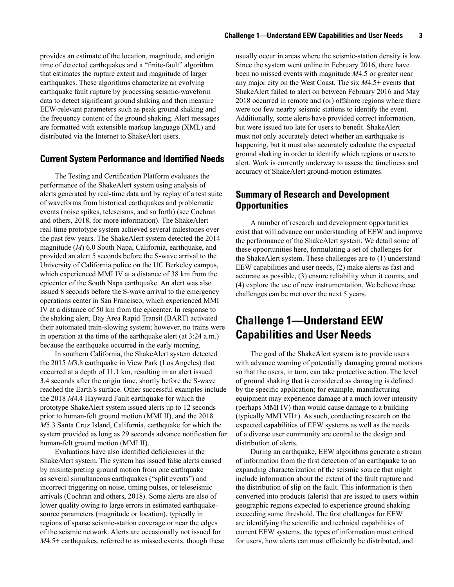<span id="page-8-0"></span>provides an estimate of the location, magnitude, and origin time of detected earthquakes and a "finite-fault" algorithm that estimates the rupture extent and magnitude of larger earthquakes. These algorithms characterize an evolving earthquake fault rupture by processing seismic-waveform data to detect significant ground shaking and then measure EEW-relevant parameters such as peak ground shaking and the frequency content of the ground shaking. Alert messages are formatted with extensible markup language (XML) and distributed via the Internet to ShakeAlert users.

### **Current System Performance and Identified Needs**

The Testing and Certification Platform evaluates the performance of the ShakeAlert system using analysis of alerts generated by real-time data and by replay of a test suite of waveforms from historical earthquakes and problematic events (noise spikes, teleseisms, and so forth) (see Cochran and others, 2018, for more information). The ShakeAlert real-time prototype system achieved several milestones over the past few years. The ShakeAlert system detected the 2014 magnitude (*M*) 6.0 South Napa, California, earthquake, and provided an alert 5 seconds before the S-wave arrival to the University of California police on the UC Berkeley campus, which experienced MMI IV at a distance of 38 km from the epicenter of the South Napa earthquake. An alert was also issued 8 seconds before the S-wave arrival to the emergency operations center in San Francisco, which experienced MMI IV at a distance of 50 km from the epicenter. In response to the shaking alert, Bay Area Rapid Transit (BART) activated their automated train-slowing system; however, no trains were in operation at the time of the earthquake alert (at 3:24 a.m.) because the earthquake occurred in the early morning.

In southern California, the ShakeAlert system detected the 2015 *M*3.8 earthquake in View Park (Los Angeles) that occurred at a depth of 11.1 km, resulting in an alert issued 3.4 seconds after the origin time, shortly before the S-wave reached the Earth's surface. Other successful examples include the 2018 *M*4.4 Hayward Fault earthquake for which the prototype ShakeAlert system issued alerts up to 12 seconds prior to human-felt ground motion (MMI II), and the 2018 *M*5.3 Santa Cruz Island, California, earthquake for which the system provided as long as 29 seconds advance notification for human-felt ground motion (MMI II).

Evaluations have also identified deficiencies in the ShakeAlert system. The system has issued false alerts caused by misinterpreting ground motion from one earthquake as several simultaneous earthquakes ("split events") and incorrect triggering on noise, timing pulses, or teleseismic arrivals (Cochran and others, 2018). Some alerts are also of lower quality owing to large errors in estimated earthquakesource parameters (magnitude or location), typically in regions of sparse seismic-station coverage or near the edges of the seismic network. Alerts are occasionally not issued for *M*4.5+ earthquakes, referred to as missed events, though these

usually occur in areas where the seismic-station density is low. Since the system went online in February 2016, there have been no missed events with magnitude *M*4.5 or greater near any major city on the West Coast. The six *M*4.5+ events that ShakeAlert failed to alert on between February 2016 and May 2018 occurred in remote and (or) offshore regions where there were too few nearby seismic stations to identify the event. Additionally, some alerts have provided correct information, but were issued too late for users to benefit. ShakeAlert must not only accurately detect whether an earthquake is happening, but it must also accurately calculate the expected ground shaking in order to identify which regions or users to alert. Work is currently underway to assess the timeliness and accuracy of ShakeAlert ground-motion estimates.

### **Summary of Research and Development Opportunities**

A number of research and development opportunities exist that will advance our understanding of EEW and improve the performance of the ShakeAlert system. We detail some of these opportunities here, formulating a set of challenges for the ShakeAlert system. These challenges are to (1) understand EEW capabilities and user needs, (2) make alerts as fast and accurate as possible, (3) ensure reliability when it counts, and (4) explore the use of new instrumentation. We believe these challenges can be met over the next 5 years.

### **Challenge 1—Understand EEW Capabilities and User Needs**

The goal of the ShakeAlert system is to provide users with advance warning of potentially damaging ground motions so that the users, in turn, can take protective action. The level of ground shaking that is considered as damaging is defined by the specific application; for example, manufacturing equipment may experience damage at a much lower intensity (perhaps MMI IV) than would cause damage to a building (typically MMI VII+). As such, conducting research on the expected capabilities of EEW systems as well as the needs of a diverse user community are central to the design and distribution of alerts.

During an earthquake, EEW algorithms generate a stream of information from the first detection of an earthquake to an expanding characterization of the seismic source that might include information about the extent of the fault rupture and the distribution of slip on the fault. This information is then converted into products (alerts) that are issued to users within geographic regions expected to experience ground shaking exceeding some threshold. The first challenges for EEW are identifying the scientific and technical capabilities of current EEW systems, the types of information most critical for users, how alerts can most efficiently be distributed, and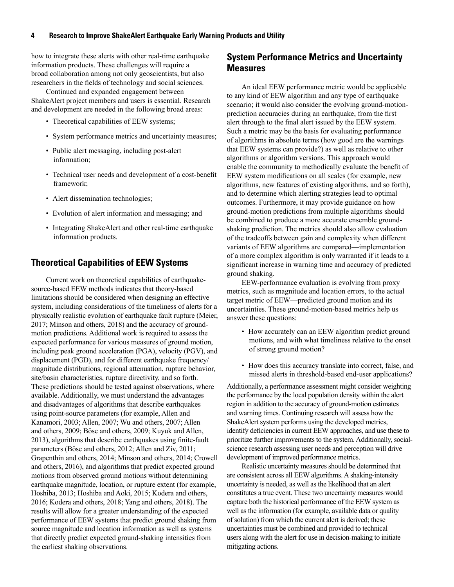<span id="page-9-0"></span>how to integrate these alerts with other real-time earthquake information products. These challenges will require a broad collaboration among not only geoscientists, but also researchers in the fields of technology and social sciences.

Continued and expanded engagement between ShakeAlert project members and users is essential. Research and development are needed in the following broad areas:

- Theoretical capabilities of EEW systems;
- System performance metrics and uncertainty measures;
- Public alert messaging, including post-alert information;
- Technical user needs and development of a cost-benefit framework;
- Alert dissemination technologies;
- Evolution of alert information and messaging; and
- Integrating ShakeAlert and other real-time earthquake information products.

### **Theoretical Capabilities of EEW Systems**

Current work on theoretical capabilities of earthquakesource-based EEW methods indicates that theory-based limitations should be considered when designing an effective system, including considerations of the timeliness of alerts for a physically realistic evolution of earthquake fault rupture (Meier, 2017; Minson and others, 2018) and the accuracy of groundmotion predictions. Additional work is required to assess the expected performance for various measures of ground motion, including peak ground acceleration (PGA), velocity (PGV), and displacement (PGD), and for different earthquake frequency/ magnitude distributions, regional attenuation, rupture behavior, site/basin characteristics, rupture directivity, and so forth. These predictions should be tested against observations, where available. Additionally, we must understand the advantages and disadvantages of algorithms that describe earthquakes using point-source parameters (for example, Allen and Kanamori, 2003; Allen, 2007; Wu and others, 2007; Allen and others, 2009; Böse and others, 2009; Kuyuk and Allen, 2013), algorithms that describe earthquakes using finite-fault parameters (Böse and others, 2012; Allen and Ziv, 2011; Grapenthin and others, 2014; Minson and others, 2014; Crowell and others, 2016), and algorithms that predict expected ground motions from observed ground motions without determining earthquake magnitude, location, or rupture extent (for example, Hoshiba, 2013; Hoshiba and Aoki, 2015; Kodera and others, 2016; Kodera and others, 2018; Yang and others, 2018). The results will allow for a greater understanding of the expected performance of EEW systems that predict ground shaking from source magnitude and location information as well as systems that directly predict expected ground-shaking intensities from the earliest shaking observations.

### **System Performance Metrics and Uncertainty Measures**

An ideal EEW performance metric would be applicable to any kind of EEW algorithm and any type of earthquake scenario; it would also consider the evolving ground-motionprediction accuracies during an earthquake, from the first alert through to the final alert issued by the EEW system. Such a metric may be the basis for evaluating performance of algorithms in absolute terms (how good are the warnings that EEW systems can provide?) as well as relative to other algorithms or algorithm versions. This approach would enable the community to methodically evaluate the benefit of EEW system modifications on all scales (for example, new algorithms, new features of existing algorithms, and so forth), and to determine which alerting strategies lead to optimal outcomes. Furthermore, it may provide guidance on how ground-motion predictions from multiple algorithms should be combined to produce a more accurate ensemble groundshaking prediction. The metrics should also allow evaluation of the tradeoffs between gain and complexity when different variants of EEW algorithms are compared—implementation of a more complex algorithm is only warranted if it leads to a significant increase in warning time and accuracy of predicted ground shaking.

EEW-performance evaluation is evolving from proxy metrics, such as magnitude and location errors, to the actual target metric of EEW—predicted ground motion and its uncertainties. These ground-motion-based metrics help us answer these questions:

- How accurately can an EEW algorithm predict ground motions, and with what timeliness relative to the onset of strong ground motion?
- How does this accuracy translate into correct, false, and missed alerts in threshold-based end-user applications?

Additionally, a performance assessment might consider weighting the performance by the local population density within the alert region in addition to the accuracy of ground-motion estimates and warning times. Continuing research will assess how the ShakeAlert system performs using the developed metrics, identify deficiencies in current EEW approaches, and use these to prioritize further improvements to the system. Additionally, socialscience research assessing user needs and perception will drive development of improved performance metrics.

Realistic uncertainty measures should be determined that are consistent across all EEW algorithms. A shaking-intensity uncertainty is needed, as well as the likelihood that an alert constitutes a true event. These two uncertainty measures would capture both the historical performance of the EEW system as well as the information (for example, available data or quality of solution) from which the current alert is derived; these uncertainties must be combined and provided to technical users along with the alert for use in decision-making to initiate mitigating actions.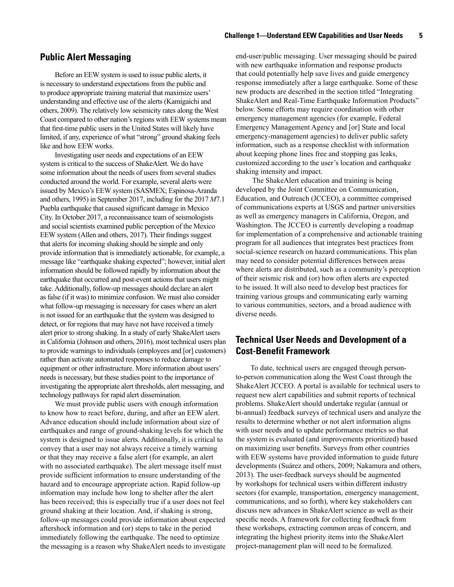### <span id="page-10-0"></span>**Public Alert Messaging**

Before an EEW system is used to issue public alerts, it is necessary to understand expectations from the public and to produce appropriate training material that maximize users' understanding and effective use of the alerts (Kamigaichi and others, 2009). The relatively low seismicity rates along the West Coast compared to other nation's regions with EEW systems mean that first-time public users in the United States will likely have limited, if any, experience of what "strong" ground shaking feels like and how EEW works.

Investigating user needs and expectations of an EEW system is critical to the success of ShakeAlert. We do have some information about the needs of users from several studies conducted around the world. For example, several alerts were issued by Mexico's EEW system (SASMEX; Espinosa-Aranda and others, 1995) in September 2017, including for the 2017 *M*7.1 Puebla earthquake that caused significant damage in Mexico City. In October 2017, a reconnaissance team of seismologists and social scientists examined public perception of the Mexico EEW system (Allen and others, 2017). Their findings suggest that alerts for incoming shaking should be simple and only provide information that is immediately actionable, for example, a message like "earthquake shaking expected"; however, initial alert information should be followed rapidly by information about the earthquake that occurred and post-event actions that users might take. Additionally, follow-up messages should declare an alert as false (if it was) to minimize confusion. We must also consider what follow-up messaging is necessary for cases where an alert is not issued for an earthquake that the system was designed to detect, or for regions that may have not have received a timely alert prior to strong shaking. In a study of early ShakeAlert users in California (Johnson and others, 2016), most technical users plan to provide warnings to individuals (employees and [or] customers) rather than activate automated responses to reduce damage to equipment or other infrastructure. More information about users' needs is necessary, but these studies point to the importance of investigating the appropriate alert thresholds, alert messaging, and technology pathways for rapid alert dissemination.

We must provide public users with enough information to know how to react before, during, and after an EEW alert. Advance education should include information about size of earthquakes and range of ground-shaking levels for which the system is designed to issue alerts. Additionally, it is critical to convey that a user may not always receive a timely warning or that they may receive a false alert (for example, an alert with no associated earthquake). The alert message itself must provide sufficient information to ensure understanding of the hazard and to encourage appropriate action. Rapid follow-up information may include how long to shelter after the alert has been received; this is especially true if a user does not feel ground shaking at their location. And, if shaking is strong, follow-up messages could provide information about expected aftershock information and (or) steps to take in the period immediately following the earthquake. The need to optimize the messaging is a reason why ShakeAlert needs to investigate end-user/public messaging. User messaging should be paired with new earthquake information and response products that could potentially help save lives and guide emergency response immediately after a large earthquake. Some of these new products are described in the section titled "Integrating ShakeAlert and Real-Time Earthquake Information Products" below. Some efforts may require coordination with other emergency management agencies (for example, Federal Emergency Management Agency and [or] State and local emergency-management agencies) to deliver public safety information, such as a response checklist with information about keeping phone lines free and stopping gas leaks, customized according to the user's location and earthquake shaking intensity and impact.

 The ShakeAlert education and training is being developed by the Joint Committee on Communication, Education, and Outreach (JCCEO), a committee comprised of communications experts at USGS and partner universities as well as emergency managers in California, Oregon, and Washington. The JCCEO is currently developing a roadmap for implementation of a comprehensive and actionable training program for all audiences that integrates best practices from social-science research on hazard communications. This plan may need to consider potential differences between areas where alerts are distributed, such as a community's perception of their seismic risk and (or) how often alerts are expected to be issued. It will also need to develop best practices for training various groups and communicating early warning to various communities, sectors, and a broad audience with diverse needs.

### **Technical User Needs and Development of a Cost-Benefit Framework**

To date, technical users are engaged through personto-person communication along the West Coast through the ShakeAlert JCCEO. A portal is available for technical users to request new alert capabilities and submit reports of technical problems. ShakeAlert should undertake regular (annual or bi-annual) feedback surveys of technical users and analyze the results to determine whether or not alert information aligns with user needs and to update performance metrics so that the system is evaluated (and improvements prioritized) based on maximizing user benefits. Surveys from other countries with EEW systems have provided information to guide future developments (Suárez and others, 2009; Nakamura and others, 2013). The user-feedback surveys should be augmented by workshops for technical users within different industry sectors (for example, transportation, emergency management, communications, and so forth), where key stakeholders can discuss new advances in ShakeAlert science as well as their specific needs. A framework for collecting feedback from these workshops, extracting common areas of concern, and integrating the highest priority items into the ShakeAlert project-management plan will need to be formalized.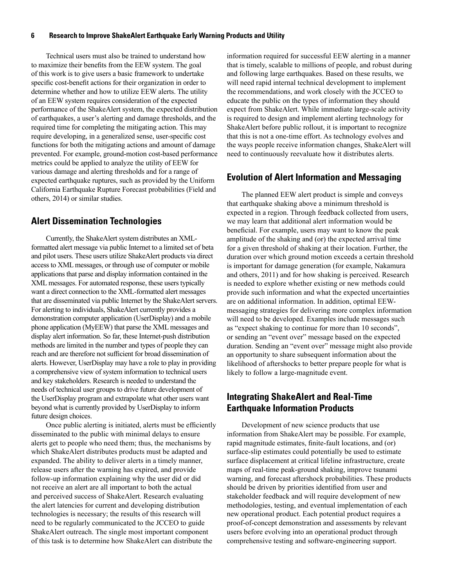<span id="page-11-0"></span>Technical users must also be trained to understand how to maximize their benefits from the EEW system. The goal of this work is to give users a basic framework to undertake specific cost-benefit actions for their organization in order to determine whether and how to utilize EEW alerts. The utility of an EEW system requires consideration of the expected performance of the ShakeAlert system, the expected distribution of earthquakes, a user's alerting and damage thresholds, and the required time for completing the mitigating action. This may require developing, in a generalized sense, user-specific cost functions for both the mitigating actions and amount of damage prevented. For example, ground-motion cost-based performance metrics could be applied to analyze the utility of EEW for various damage and alerting thresholds and for a range of expected earthquake ruptures, such as provided by the Uniform California Earthquake Rupture Forecast probabilities (Field and others, 2014) or similar studies.

### **Alert Dissemination Technologies**

Currently, the ShakeAlert system distributes an XMLformatted alert message via public Internet to a limited set of beta and pilot users. These users utilize ShakeAlert products via direct access to XML messages, or through use of computer or mobile applications that parse and display information contained in the XML messages. For automated response, these users typically want a direct connection to the XML-formatted alert messages that are disseminated via public Internet by the ShakeAlert servers. For alerting to individuals, ShakeAlert currently provides a demonstration computer application (UserDisplay) and a mobile phone application (MyEEW) that parse the XML messages and display alert information. So far, these Internet-push distribution methods are limited in the number and types of people they can reach and are therefore not sufficient for broad dissemination of alerts. However, UserDisplay may have a role to play in providing a comprehensive view of system information to technical users and key stakeholders. Research is needed to understand the needs of technical user groups to drive future development of the UserDisplay program and extrapolate what other users want beyond what is currently provided by UserDisplay to inform future design choices.

Once public alerting is initiated, alerts must be efficiently disseminated to the public with minimal delays to ensure alerts get to people who need them; thus, the mechanisms by which ShakeAlert distributes products must be adapted and expanded. The ability to deliver alerts in a timely manner, release users after the warning has expired, and provide follow-up information explaining why the user did or did not receive an alert are all important to both the actual and perceived success of ShakeAlert. Research evaluating the alert latencies for current and developing distribution technologies is necessary; the results of this research will need to be regularly communicated to the JCCEO to guide ShakeAlert outreach. The single most important component of this task is to determine how ShakeAlert can distribute the

information required for successful EEW alerting in a manner that is timely, scalable to millions of people, and robust during and following large earthquakes. Based on these results, we will need rapid internal technical development to implement the recommendations, and work closely with the JCCEO to educate the public on the types of information they should expect from ShakeAlert. While immediate large-scale activity is required to design and implement alerting technology for ShakeAlert before public rollout, it is important to recognize that this is not a one-time effort. As technology evolves and the ways people receive information changes, ShakeAlert will need to continuously reevaluate how it distributes alerts.

### **Evolution of Alert Information and Messaging**

The planned EEW alert product is simple and conveys that earthquake shaking above a minimum threshold is expected in a region. Through feedback collected from users, we may learn that additional alert information would be beneficial. For example, users may want to know the peak amplitude of the shaking and (or) the expected arrival time for a given threshold of shaking at their location. Further, the duration over which ground motion exceeds a certain threshold is important for damage generation (for example, Nakamura and others, 2011) and for how shaking is perceived. Research is needed to explore whether existing or new methods could provide such information and what the expected uncertainties are on additional information. In addition, optimal EEWmessaging strategies for delivering more complex information will need to be developed. Examples include messages such as "expect shaking to continue for more than 10 seconds", or sending an "event over" message based on the expected duration. Sending an "event over" message might also provide an opportunity to share subsequent information about the likelihood of aftershocks to better prepare people for what is likely to follow a large-magnitude event.

### **Integrating ShakeAlert and Real-Time Earthquake Information Products**

Development of new science products that use information from ShakeAlert may be possible. For example, rapid magnitude estimates, finite-fault locations, and (or) surface-slip estimates could potentially be used to estimate surface displacement at critical lifeline infrastructure, create maps of real-time peak-ground shaking, improve tsunami warning, and forecast aftershock probabilities. These products should be driven by priorities identified from user and stakeholder feedback and will require development of new methodologies, testing, and eventual implementation of each new operational product. Each potential product requires a proof-of-concept demonstration and assessments by relevant users before evolving into an operational product through comprehensive testing and software-engineering support.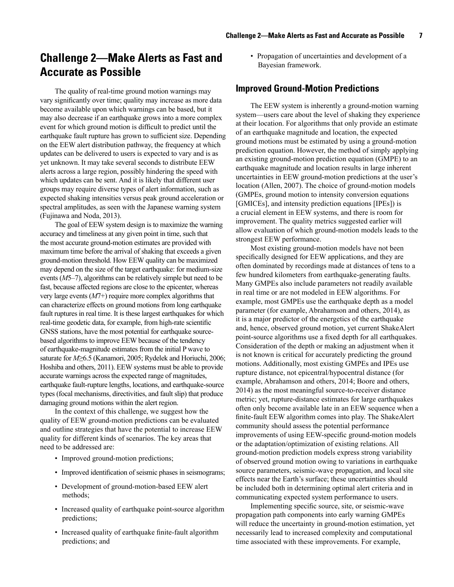## <span id="page-12-0"></span>**Challenge 2—Make Alerts as Fast and Accurate as Possible**

The quality of real-time ground motion warnings may vary significantly over time; quality may increase as more data become available upon which warnings can be based, but it may also decrease if an earthquake grows into a more complex event for which ground motion is difficult to predict until the earthquake fault rupture has grown to sufficient size. Depending on the EEW alert distribution pathway, the frequency at which updates can be delivered to users is expected to vary and is as yet unknown. It may take several seconds to distribute EEW alerts across a large region, possibly hindering the speed with which updates can be sent. And it is likely that different user groups may require diverse types of alert information, such as expected shaking intensities versus peak ground acceleration or spectral amplitudes, as seen with the Japanese warning system (Fujinawa and Noda, 2013).

The goal of EEW system design is to maximize the warning accuracy and timeliness at any given point in time, such that the most accurate ground-motion estimates are provided with maximum time before the arrival of shaking that exceeds a given ground-motion threshold. How EEW quality can be maximized may depend on the size of the target earthquake: for medium-size events (*M*5–7), algorithms can be relatively simple but need to be fast, because affected regions are close to the epicenter, whereas very large events (*M*7+) require more complex algorithms that can characterize effects on ground motions from long earthquake fault ruptures in real time. It is these largest earthquakes for which real-time geodetic data, for example, from high-rate scientific GNSS stations, have the most potential for earthquake sourcebased algorithms to improve EEW because of the tendency of earthquake-magnitude estimates from the initial P wave to saturate for *M*≥6.5 (Kanamori, 2005; Rydelek and Horiuchi, 2006; Hoshiba and others, 2011). EEW systems must be able to provide accurate warnings across the expected range of magnitudes, earthquake fault-rupture lengths, locations, and earthquake-source types (focal mechanisms, directivities, and fault slip) that produce damaging ground motions within the alert region.

In the context of this challenge, we suggest how the quality of EEW ground-motion predictions can be evaluated and outline strategies that have the potential to increase EEW quality for different kinds of scenarios. The key areas that need to be addressed are:

- Improved ground-motion predictions;
- Improved identification of seismic phases in seismograms;
- Development of ground-motion-based EEW alert methods;
- Increased quality of earthquake point-source algorithm predictions;
- Increased quality of earthquake finite-fault algorithm predictions; and

• Propagation of uncertainties and development of a Bayesian framework.

### **Improved Ground-Motion Predictions**

The EEW system is inherently a ground-motion warning system—users care about the level of shaking they experience at their location. For algorithms that only provide an estimate of an earthquake magnitude and location, the expected ground motions must be estimated by using a ground-motion prediction equation. However, the method of simply applying an existing ground-motion prediction equation (GMPE) to an earthquake magnitude and location results in large inherent uncertainties in EEW ground-motion predictions at the user's location (Allen, 2007). The choice of ground-motion models (GMPEs, ground motion to intensity conversion equations [GMICEs], and intensity prediction equations [IPEs]) is a crucial element in EEW systems, and there is room for improvement. The quality metrics suggested earlier will allow evaluation of which ground-motion models leads to the strongest EEW performance.

Most existing ground-motion models have not been specifically designed for EEW applications, and they are often dominated by recordings made at distances of tens to a few hundred kilometers from earthquake-generating faults. Many GMPEs also include parameters not readily available in real time or are not modeled in EEW algorithms. For example, most GMPEs use the earthquake depth as a model parameter (for example, Abrahamson and others, 2014), as it is a major predictor of the energetics of the earthquake and, hence, observed ground motion, yet current ShakeAlert point-source algorithms use a fixed depth for all earthquakes. Consideration of the depth or making an adjustment when it is not known is critical for accurately predicting the ground motions. Additionally, most existing GMPEs and IPEs use rupture distance, not epicentral/hypocentral distance (for example, Abrahamson and others, 2014; Boore and others, 2014) as the most meaningful source-to-receiver distance metric; yet, rupture-distance estimates for large earthquakes often only become available late in an EEW sequence when a finite-fault EEW algorithm comes into play. The ShakeAlert community should assess the potential performance improvements of using EEW-specific ground-motion models or the adaptation/optimization of existing relations. All ground-motion prediction models express strong variability of observed ground motion owing to variations in earthquake source parameters, seismic-wave propagation, and local site effects near the Earth's surface; these uncertainties should be included both in determining optimal alert criteria and in communicating expected system performance to users.

Implementing specific source, site, or seismic-wave propagation path components into early warning GMPEs will reduce the uncertainty in ground-motion estimation, yet necessarily lead to increased complexity and computational time associated with these improvements. For example,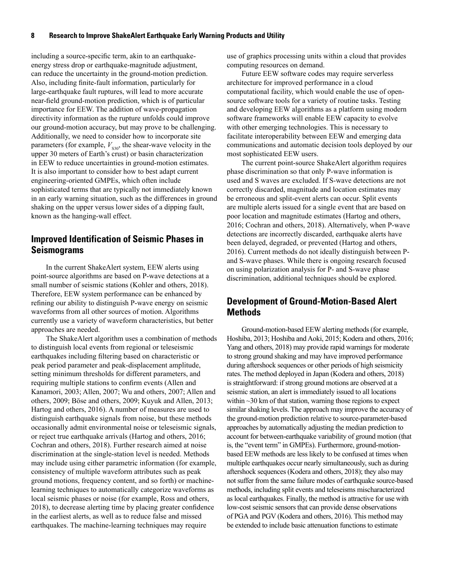<span id="page-13-0"></span>including a source-specific term, akin to an earthquakeenergy stress drop or earthquake-magnitude adjustment, can reduce the uncertainty in the ground-motion prediction. Also, including finite-fault information, particularly for large-earthquake fault ruptures, will lead to more accurate near-field ground-motion prediction, which is of particular importance for EEW. The addition of wave-propagation directivity information as the rupture unfolds could improve our ground-motion accuracy, but may prove to be challenging. Additionally, we need to consider how to incorporate site parameters (for example,  $V_{S30}$ , the shear-wave velocity in the upper 30 meters of Earth's crust) or basin characterization in EEW to reduce uncertainties in ground-motion estimates. It is also important to consider how to best adapt current engineering-oriented GMPEs, which often include sophisticated terms that are typically not immediately known in an early warning situation, such as the differences in ground shaking on the upper versus lower sides of a dipping fault, known as the hanging-wall effect.

### **Improved Identification of Seismic Phases in Seismograms**

In the current ShakeAlert system, EEW alerts using point-source algorithms are based on P-wave detections at a small number of seismic stations (Kohler and others, 2018). Therefore, EEW system performance can be enhanced by refining our ability to distinguish P-wave energy on seismic waveforms from all other sources of motion. Algorithms currently use a variety of waveform characteristics, but better approaches are needed.

The ShakeAlert algorithm uses a combination of methods to distinguish local events from regional or teleseismic earthquakes including filtering based on characteristic or peak period parameter and peak-displacement amplitude, setting minimum thresholds for different parameters, and requiring multiple stations to confirm events (Allen and Kanamori, 2003; Allen, 2007; Wu and others, 2007; Allen and others, 2009; Böse and others, 2009; Kuyuk and Allen, 2013; Hartog and others, 2016). A number of measures are used to distinguish earthquake signals from noise, but these methods occasionally admit environmental noise or teleseismic signals, or reject true earthquake arrivals (Hartog and others, 2016; Cochran and others, 2018). Further research aimed at noise discrimination at the single-station level is needed. Methods may include using either parametric information (for example, consistency of multiple waveform attributes such as peak ground motions, frequency content, and so forth) or machinelearning techniques to automatically categorize waveforms as local seismic phases or noise (for example, Ross and others, 2018), to decrease alerting time by placing greater confidence in the earliest alerts, as well as to reduce false and missed earthquakes. The machine-learning techniques may require

use of graphics processing units within a cloud that provides computing resources on demand.

Future EEW software codes may require serverless architecture for improved performance in a cloud computational facility, which would enable the use of opensource software tools for a variety of routine tasks. Testing and developing EEW algorithms as a platform using modern software frameworks will enable EEW capacity to evolve with other emerging technologies. This is necessary to facilitate interoperability between EEW and emerging data communications and automatic decision tools deployed by our most sophisticated EEW users.

The current point-source ShakeAlert algorithm requires phase discrimination so that only P-wave information is used and S waves are excluded. If S-wave detections are not correctly discarded, magnitude and location estimates may be erroneous and split-event alerts can occur. Split events are multiple alerts issued for a single event that are based on poor location and magnitude estimates (Hartog and others, 2016; Cochran and others, 2018). Alternatively, when P-wave detections are incorrectly discarded, earthquake alerts have been delayed, degraded, or prevented (Hartog and others, 2016). Current methods do not ideally distinguish between Pand S-wave phases. While there is ongoing research focused on using polarization analysis for P- and S-wave phase discrimination, additional techniques should be explored.

### **Development of Ground-Motion-Based Alert Methods**

Ground-motion-based EEW alerting methods (for example, Hoshiba, 2013; Hoshiba and Aoki, 2015; Kodera and others, 2016; Yang and others, 2018) may provide rapid warnings for moderate to strong ground shaking and may have improved performance during aftershock sequences or other periods of high seismicity rates. The method deployed in Japan (Kodera and others, 2018) is straightforward: if strong ground motions are observed at a seismic station, an alert is immediately issued to all locations within  $\sim$ 30 km of that station, warning those regions to expect similar shaking levels. The approach may improve the accuracy of the ground-motion prediction relative to source-parameter-based approaches by automatically adjusting the median prediction to account for between-earthquake variability of ground motion (that is, the "event term" in GMPEs). Furthermore, ground-motionbased EEW methods are less likely to be confused at times when multiple earthquakes occur nearly simultaneously, such as during aftershock sequences (Kodera and others, 2018); they also may not suffer from the same failure modes of earthquake source-based methods, including split events and teleseisms mischaracterized as local earthquakes. Finally, the method is attractive for use with low-cost seismic sensors that can provide dense observations of PGA and PGV (Kodera and others, 2016). This method may be extended to include basic attenuation functions to estimate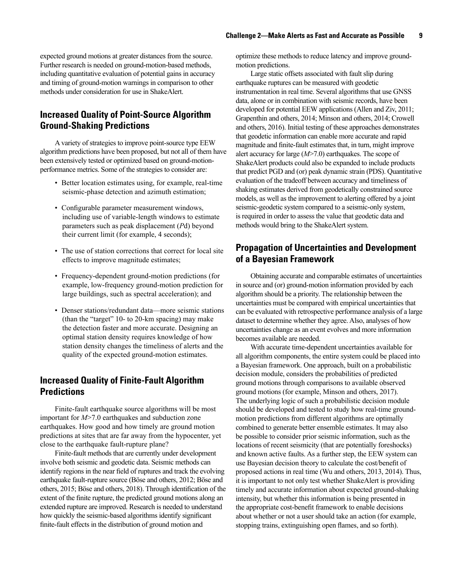<span id="page-14-0"></span>expected ground motions at greater distances from the source. Further research is needed on ground-motion-based methods, including quantitative evaluation of potential gains in accuracy and timing of ground-motion warnings in comparison to other methods under consideration for use in ShakeAlert.

### **Increased Quality of Point-Source Algorithm Ground-Shaking Predictions**

A variety of strategies to improve point-source type EEW algorithm predictions have been proposed, but not all of them have been extensively tested or optimized based on ground-motionperformance metrics. Some of the strategies to consider are:

- Better location estimates using, for example, real-time seismic-phase detection and azimuth estimation;
- Configurable parameter measurement windows, including use of variable-length windows to estimate parameters such as peak displacement (*P*d) beyond their current limit (for example, 4 seconds);
- The use of station corrections that correct for local site effects to improve magnitude estimates;
- Frequency-dependent ground-motion predictions (for example, low-frequency ground-motion prediction for large buildings, such as spectral acceleration); and
- Denser stations/redundant data—more seismic stations (than the "target" 10- to 20-km spacing) may make the detection faster and more accurate. Designing an optimal station density requires knowledge of how station density changes the timeliness of alerts and the quality of the expected ground-motion estimates.

### **Increased Quality of Finite-Fault Algorithm Predictions**

Finite-fault earthquake source algorithms will be most important for *M*>7.0 earthquakes and subduction zone earthquakes. How good and how timely are ground motion predictions at sites that are far away from the hypocenter, yet close to the earthquake fault-rupture plane?

Finite-fault methods that are currently under development involve both seismic and geodetic data. Seismic methods can identify regions in the near field of ruptures and track the evolving earthquake fault-rupture source (Böse and others, 2012; Böse and others, 2015; Böse and others, 2018). Through identification of the extent of the finite rupture, the predicted ground motions along an extended rupture are improved. Research is needed to understand how quickly the seismic-based algorithms identify significant finite-fault effects in the distribution of ground motion and

optimize these methods to reduce latency and improve groundmotion predictions.

Large static offsets associated with fault slip during earthquake ruptures can be measured with geodetic instrumentation in real time. Several algorithms that use GNSS data, alone or in combination with seismic records, have been developed for potential EEW applications (Allen and Ziv, 2011; Grapenthin and others, 2014; Minson and others, 2014; Crowell and others, 2016). Initial testing of these approaches demonstrates that geodetic information can enable more accurate and rapid magnitude and finite-fault estimates that, in turn, might improve alert accuracy for large (*M*>7.0) earthquakes. The scope of ShakeAlert products could also be expanded to include products that predict PGD and (or) peak dynamic strain (PDS). Quantitative evaluation of the tradeoff between accuracy and timeliness of shaking estimates derived from geodetically constrained source models, as well as the improvement to alerting offered by a joint seismic-geodetic system compared to a seismic-only system, is required in order to assess the value that geodetic data and methods would bring to the ShakeAlert system.

### **Propagation of Uncertainties and Development of a Bayesian Framework**

Obtaining accurate and comparable estimates of uncertainties in source and (or) ground-motion information provided by each algorithm should be a priority. The relationship between the uncertainties must be compared with empirical uncertainties that can be evaluated with retrospective performance analysis of a large dataset to determine whether they agree. Also, analyses of how uncertainties change as an event evolves and more information becomes available are needed.

With accurate time-dependent uncertainties available for all algorithm components, the entire system could be placed into a Bayesian framework. One approach, built on a probabilistic decision module, considers the probabilities of predicted ground motions through comparisons to available observed ground motions (for example, Minson and others, 2017). The underlying logic of such a probabilistic decision module should be developed and tested to study how real-time groundmotion predictions from different algorithms are optimally combined to generate better ensemble estimates. It may also be possible to consider prior seismic information, such as the locations of recent seismicity (that are potentially foreshocks) and known active faults. As a further step, the EEW system can use Bayesian decision theory to calculate the cost/benefit of proposed actions in real time (Wu and others, 2013, 2014). Thus, it is important to not only test whether ShakeAlert is providing timely and accurate information about expected ground-shaking intensity, but whether this information is being presented in the appropriate cost-benefit framework to enable decisions about whether or not a user should take an action (for example, stopping trains, extinguishing open flames, and so forth).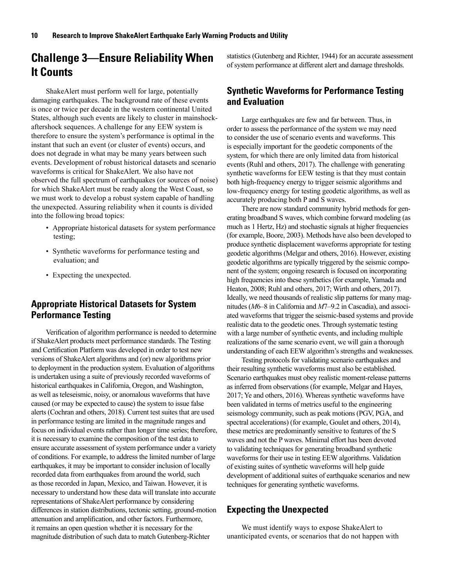## <span id="page-15-0"></span>**Challenge 3—Ensure Reliability When It Counts**

ShakeAlert must perform well for large, potentially damaging earthquakes. The background rate of these events is once or twice per decade in the western continental United States, although such events are likely to cluster in mainshockaftershock sequences. A challenge for any EEW system is therefore to ensure the system's performance is optimal in the instant that such an event (or cluster of events) occurs, and does not degrade in what may be many years between such events. Development of robust historical datasets and scenario waveforms is critical for ShakeAlert. We also have not observed the full spectrum of earthquakes (or sources of noise) for which ShakeAlert must be ready along the West Coast, so we must work to develop a robust system capable of handling the unexpected. Assuring reliability when it counts is divided into the following broad topics:

- Appropriate historical datasets for system performance testing;
- Synthetic waveforms for performance testing and evaluation; and
- Expecting the unexpected.

### **Appropriate Historical Datasets for System Performance Testing**

Verification of algorithm performance is needed to determine if ShakeAlert products meet performance standards. The Testing and Certification Platform was developed in order to test new versions of ShakeAlert algorithms and (or) new algorithms prior to deployment in the production system. Evaluation of algorithms is undertaken using a suite of previously recorded waveforms of historical earthquakes in California, Oregon, and Washington, as well as teleseismic, noisy, or anomalous waveforms that have caused (or may be expected to cause) the system to issue false alerts (Cochran and others, 2018). Current test suites that are used in performance testing are limited in the magnitude ranges and focus on individual events rather than longer time series; therefore, it is necessary to examine the composition of the test data to ensure accurate assessment of system performance under a variety of conditions. For example, to address the limited number of large earthquakes, it may be important to consider inclusion of locally recorded data from earthquakes from around the world, such as those recorded in Japan, Mexico, and Taiwan. However, it is necessary to understand how these data will translate into accurate representations of ShakeAlert performance by considering differences in station distributions, tectonic setting, ground-motion attenuation and amplification, and other factors. Furthermore, it remains an open question whether it is necessary for the magnitude distribution of such data to match Gutenberg-Richter

statistics (Gutenberg and Richter, 1944) for an accurate assessment of system performance at different alert and damage thresholds.

### **Synthetic Waveforms for Performance Testing and Evaluation**

Large earthquakes are few and far between. Thus, in order to assess the performance of the system we may need to consider the use of scenario events and waveforms. This is especially important for the geodetic components of the system, for which there are only limited data from historical events (Ruhl and others, 2017). The challenge with generating synthetic waveforms for EEW testing is that they must contain both high-frequency energy to trigger seismic algorithms and low-frequency energy for testing geodetic algorithms, as well as accurately producing both P and S waves.

There are now standard community hybrid methods for generating broadband S waves, which combine forward modeling (as much as 1 Hertz, Hz) and stochastic signals at higher frequencies (for example, Boore, 2003). Methods have also been developed to produce synthetic displacement waveforms appropriate for testing geodetic algorithms (Melgar and others, 2016). However, existing geodetic algorithms are typically triggered by the seismic component of the system; ongoing research is focused on incorporating high frequencies into these synthetics (for example, Yamada and Heaton, 2008; Ruhl and others, 2017; Wirth and others, 2017). Ideally, we need thousands of realistic slip patterns for many magnitudes (*M*6–8 in California and *M*7–9.2 in Cascadia), and associated waveforms that trigger the seismic-based systems and provide realistic data to the geodetic ones. Through systematic testing with a large number of synthetic events, and including multiple realizations of the same scenario event, we will gain a thorough understanding of each EEW algorithm's strengths and weaknesses.

Testing protocols for validating scenario earthquakes and their resulting synthetic waveforms must also be established. Scenario earthquakes must obey realistic moment-release patterns as inferred from observations (for example, Melgar and Hayes, 2017; Ye and others, 2016). Whereas synthetic waveforms have been validated in terms of metrics useful to the engineering seismology community, such as peak motions (PGV, PGA, and spectral accelerations) (for example, Goulet and others, 2014), these metrics are predominantly sensitive to features of the S waves and not the P waves. Minimal effort has been devoted to validating techniques for generating broadband synthetic waveforms for their use in testing EEW algorithms. Validation of existing suites of synthetic waveforms will help guide development of additional suites of earthquake scenarios and new techniques for generating synthetic waveforms.

### **Expecting the Unexpected**

We must identify ways to expose ShakeAlert to unanticipated events, or scenarios that do not happen with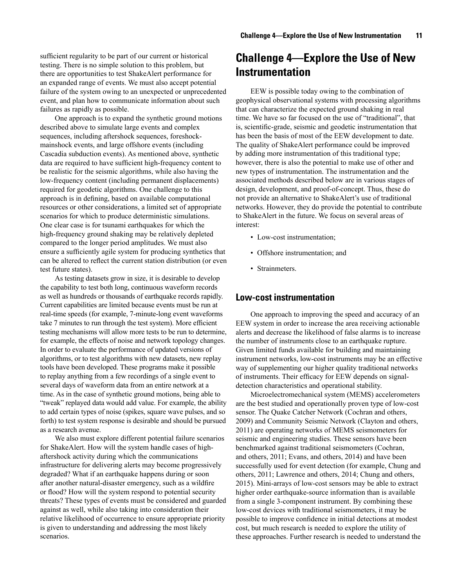<span id="page-16-0"></span>sufficient regularity to be part of our current or historical testing. There is no simple solution to this problem, but there are opportunities to test ShakeAlert performance for an expanded range of events. We must also accept potential failure of the system owing to an unexpected or unprecedented event, and plan how to communicate information about such failures as rapidly as possible.

One approach is to expand the synthetic ground motions described above to simulate large events and complex sequences, including aftershock sequences, foreshockmainshock events, and large offshore events (including Cascadia subduction events). As mentioned above, synthetic data are required to have sufficient high-frequency content to be realistic for the seismic algorithms, while also having the low-frequency content (including permanent displacements) required for geodetic algorithms. One challenge to this approach is in defining, based on available computational resources or other considerations, a limited set of appropriate scenarios for which to produce deterministic simulations. One clear case is for tsunami earthquakes for which the high-frequency ground shaking may be relatively depleted compared to the longer period amplitudes. We must also ensure a sufficiently agile system for producing synthetics that can be altered to reflect the current station distribution (or even test future states).

As testing datasets grow in size, it is desirable to develop the capability to test both long, continuous waveform records as well as hundreds or thousands of earthquake records rapidly. Current capabilities are limited because events must be run at real-time speeds (for example, 7-minute-long event waveforms take 7 minutes to run through the test system). More efficient testing mechanisms will allow more tests to be run to determine, for example, the effects of noise and network topology changes. In order to evaluate the performance of updated versions of algorithms, or to test algorithms with new datasets, new replay tools have been developed. These programs make it possible to replay anything from a few recordings of a single event to several days of waveform data from an entire network at a time. As in the case of synthetic ground motions, being able to "tweak" replayed data would add value. For example, the ability to add certain types of noise (spikes, square wave pulses, and so forth) to test system response is desirable and should be pursued as a research avenue.

We also must explore different potential failure scenarios for ShakeAlert. How will the system handle cases of highaftershock activity during which the communications infrastructure for delivering alerts may become progressively degraded? What if an earthquake happens during or soon after another natural-disaster emergency, such as a wildfire or flood? How will the system respond to potential security threats? These types of events must be considered and guarded against as well, while also taking into consideration their relative likelihood of occurrence to ensure appropriate priority is given to understanding and addressing the most likely scenarios.

## **Challenge 4—Explore the Use of New Instrumentation**

EEW is possible today owing to the combination of geophysical observational systems with processing algorithms that can characterize the expected ground shaking in real time. We have so far focused on the use of "traditional", that is, scientific-grade, seismic and geodetic instrumentation that has been the basis of most of the EEW development to date. The quality of ShakeAlert performance could be improved by adding more instrumentation of this traditional type; however, there is also the potential to make use of other and new types of instrumentation. The instrumentation and the associated methods described below are in various stages of design, development, and proof-of-concept. Thus, these do not provide an alternative to ShakeAlert's use of traditional networks. However, they do provide the potential to contribute to ShakeAlert in the future. We focus on several areas of interest:

- Low-cost instrumentation;
- Offshore instrumentation; and
- Strainmeters.

#### **Low-cost instrumentation**

One approach to improving the speed and accuracy of an EEW system in order to increase the area receiving actionable alerts and decrease the likelihood of false alarms is to increase the number of instruments close to an earthquake rupture. Given limited funds available for building and maintaining instrument networks, low-cost instruments may be an effective way of supplementing our higher quality traditional networks of instruments. Their efficacy for EEW depends on signaldetection characteristics and operational stability.

Microelectromechanical system (MEMS) accelerometers are the best studied and operationally proven type of low-cost sensor. The Quake Catcher Network (Cochran and others, 2009) and Community Seismic Network (Clayton and others, 2011) are operating networks of MEMS seismometers for seismic and engineering studies. These sensors have been benchmarked against traditional seismometers (Cochran, and others, 2011; Evans, and others, 2014) and have been successfully used for event detection (for example, Chung and others, 2011; Lawrence and others, 2014; Chung and others, 2015). Mini-arrays of low-cost sensors may be able to extract higher order earthquake-source information than is available from a single 3-component instrument. By combining these low-cost devices with traditional seismometers, it may be possible to improve confidence in initial detections at modest cost, but much research is needed to explore the utility of these approaches. Further research is needed to understand the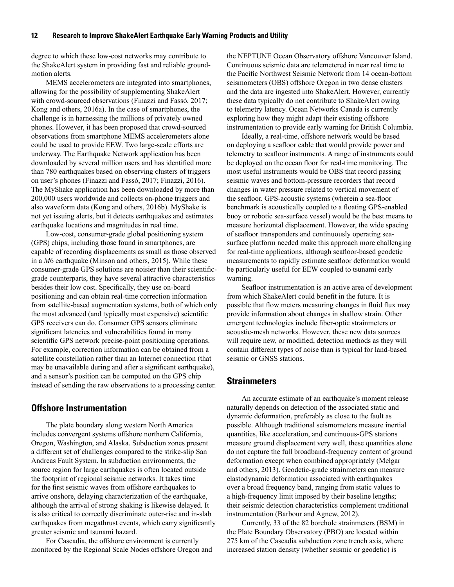<span id="page-17-0"></span>degree to which these low-cost networks may contribute to the ShakeAlert system in providing fast and reliable groundmotion alerts.

MEMS accelerometers are integrated into smartphones, allowing for the possibility of supplementing ShakeAlert with crowd-sourced observations (Finazzi and Fassò, 2017; Kong and others, 2016a). In the case of smartphones, the challenge is in harnessing the millions of privately owned phones. However, it has been proposed that crowd-sourced observations from smartphone MEMS accelerometers alone could be used to provide EEW. Two large-scale efforts are underway. The Earthquake Network application has been downloaded by several million users and has identified more than 780 earthquakes based on observing clusters of triggers on user's phones (Finazzi and Fassò, 2017; Finazzi, 2016). The MyShake application has been downloaded by more than 200,000 users worldwide and collects on-phone triggers and also waveform data (Kong and others, 2016b). MyShake is not yet issuing alerts, but it detects earthquakes and estimates earthquake locations and magnitudes in real time.

Low-cost, consumer-grade global positioning system (GPS) chips, including those found in smartphones, are capable of recording displacements as small as those observed in a *M*6 earthquake (Minson and others, 2015). While these consumer-grade GPS solutions are noisier than their scientificgrade counterparts, they have several attractive characteristics besides their low cost. Specifically, they use on-board positioning and can obtain real-time correction information from satellite-based augmentation systems, both of which only the most advanced (and typically most expensive) scientific GPS receivers can do. Consumer GPS sensors eliminate significant latencies and vulnerabilities found in many scientific GPS network precise-point positioning operations. For example, correction information can be obtained from a satellite constellation rather than an Internet connection (that may be unavailable during and after a significant earthquake), and a sensor's position can be computed on the GPS chip instead of sending the raw observations to a processing center.

### **Offshore Instrumentation**

The plate boundary along western North America includes convergent systems offshore northern California, Oregon, Washington, and Alaska. Subduction zones present a different set of challenges compared to the strike-slip San Andreas Fault System. In subduction environments, the source region for large earthquakes is often located outside the footprint of regional seismic networks. It takes time for the first seismic waves from offshore earthquakes to arrive onshore, delaying characterization of the earthquake, although the arrival of strong shaking is likewise delayed. It is also critical to correctly discriminate outer-rise and in-slab earthquakes from megathrust events, which carry significantly greater seismic and tsunami hazard.

For Cascadia, the offshore environment is currently monitored by the Regional Scale Nodes offshore Oregon and the NEPTUNE Ocean Observatory offshore Vancouver Island. Continuous seismic data are telemetered in near real time to the Pacific Northwest Seismic Network from 14 ocean-bottom seismometers (OBS) offshore Oregon in two dense clusters and the data are ingested into ShakeAlert. However, currently these data typically do not contribute to ShakeAlert owing to telemetry latency. Ocean Networks Canada is currently exploring how they might adapt their existing offshore instrumentation to provide early warning for British Columbia.

Ideally, a real-time, offshore network would be based on deploying a seafloor cable that would provide power and telemetry to seafloor instruments. A range of instruments could be deployed on the ocean floor for real-time monitoring. The most useful instruments would be OBS that record passing seismic waves and bottom-pressure recorders that record changes in water pressure related to vertical movement of the seafloor. GPS-acoustic systems (wherein a sea-floor benchmark is acoustically coupled to a floating GPS-enabled buoy or robotic sea-surface vessel) would be the best means to measure horizontal displacement. However, the wide spacing of seafloor transponders and continuously operating seasurface platform needed make this approach more challenging for real-time applications, although seafloor-based geodetic measurements to rapidly estimate seafloor deformation would be particularly useful for EEW coupled to tsunami early warning.

Seafloor instrumentation is an active area of development from which ShakeAlert could benefit in the future. It is possible that flow meters measuring changes in fluid flux may provide information about changes in shallow strain. Other emergent technologies include fiber-optic strainmeters or acoustic-mesh networks. However, these new data sources will require new, or modified, detection methods as they will contain different types of noise than is typical for land-based seismic or GNSS stations.

### **Strainmeters**

An accurate estimate of an earthquake's moment release naturally depends on detection of the associated static and dynamic deformation, preferably as close to the fault as possible. Although traditional seismometers measure inertial quantities, like acceleration, and continuous-GPS stations measure ground displacement very well, these quantities alone do not capture the full broadband-frequency content of ground deformation except when combined appropriately (Melgar and others, 2013). Geodetic-grade strainmeters can measure elastodynamic deformation associated with earthquakes over a broad frequency band, ranging from static values to a high-frequency limit imposed by their baseline lengths; their seismic detection characteristics complement traditional instrumentation (Barbour and Agnew, 2012).

Currently, 33 of the 82 borehole strainmeters (BSM) in the Plate Boundary Observatory (PBO) are located within 275 km of the Cascadia subduction zone trench axis, where increased station density (whether seismic or geodetic) is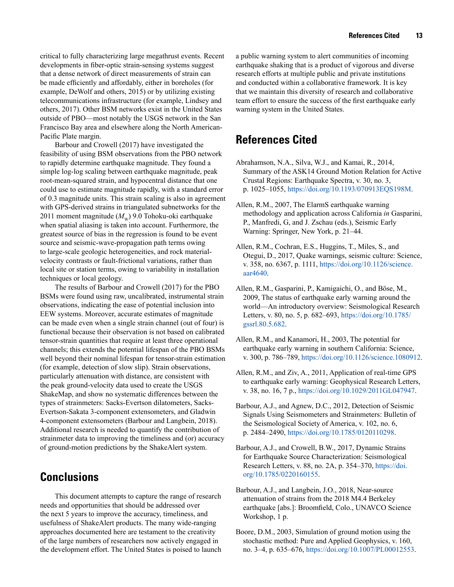<span id="page-18-0"></span>critical to fully characterizing large megathrust events. Recent developments in fiber-optic strain-sensing systems suggest that a dense network of direct measurements of strain can be made efficiently and affordably, either in boreholes (for example, DeWolf and others, 2015) or by utilizing existing telecommunications infrastructure (for example, Lindsey and others, 2017). Other BSM networks exist in the United States outside of PBO—most notably the USGS network in the San Francisco Bay area and elsewhere along the North American-Pacific Plate margin.

Barbour and Crowell (2017) have investigated the feasibility of using BSM observations from the PBO network to rapidly determine earthquake magnitude. They found a simple log-log scaling between earthquake magnitude, peak root-mean-squared strain, and hypocentral distance that one could use to estimate magnitude rapidly, with a standard error of 0.3 magnitude units. This strain scaling is also in agreement with GPS-derived strains in triangulated subnetworks for the 2011 moment magnitude  $(M_w)$  9.0 Tohoku-oki earthquake when spatial aliasing is taken into account. Furthermore, the greatest source of bias in the regression is found to be event source and seismic-wave-propagation path terms owing to large-scale geologic heterogeneities, and rock materialvelocity contrasts or fault-frictional variations, rather than local site or station terms, owing to variability in installation techniques or local geology.

The results of Barbour and Crowell (2017) for the PBO BSMs were found using raw, uncalibrated, instrumental strain observations, indicating the ease of potential inclusion into EEW systems. Moreover, accurate estimates of magnitude can be made even when a single strain channel (out of four) is functional because their observation is not based on calibrated tensor-strain quantities that require at least three operational channels; this extends the potential lifespan of the PBO BSMs well beyond their nominal lifespan for tensor-strain estimation (for example, detection of slow slip). Strain observations, particularly attenuation with distance, are consistent with the peak ground-velocity data used to create the USGS ShakeMap, and show no systematic differences between the types of strainmeters: Sacks-Evertson dilatometers, Sacks-Evertson-Sakata 3-component extensometers, and Gladwin 4-component extensometers (Barbour and Langbein, 2018). Additional research is needed to quantify the contribution of strainmeter data to improving the timeliness and (or) accuracy of ground-motion predictions by the ShakeAlert system.

## **Conclusions**

This document attempts to capture the range of research needs and opportunities that should be addressed over the next 5 years to improve the accuracy, timeliness, and usefulness of ShakeAlert products. The many wide-ranging approaches documented here are testament to the creativity of the large numbers of researchers now actively engaged in the development effort. The United States is poised to launch a public warning system to alert communities of incoming earthquake shaking that is a product of vigorous and diverse research efforts at multiple public and private institutions and conducted within a collaborative framework. It is key that we maintain this diversity of research and collaborative team effort to ensure the success of the first earthquake early warning system in the United States.

# **References Cited**

- Abrahamson, N.A., Silva, W.J., and Kamai, R., 2014, Summary of the ASK14 Ground Motion Relation for Active Crustal Regions: Earthquake Spectra, v. 30, no. 3, p. 1025–1055, https://doi.org/10.1193/070913EQS198M.
- Allen, R.M., 2007, The ElarmS earthquake warning methodology and application across California *in* Gasparini, P., Manfredi, G, and J. Zschau (eds.), Seismic Early Warning: Springer, New York, p. 21–44.
- Allen, R.M., Cochran, E.S., Huggins, T., Miles, S., and Otegui, D., 2017, Quake warnings, seismic culture: Science, v. 358, no. 6367, p. 1111, https://doi.org/10.1126/science. aar4640.
- Allen, R.M., Gasparini, P., Kamigaichi, O., and Böse, M., 2009, The status of earthquake early warning around the world—An introductory overview: Seismological Research Letters, v. 80, no. 5, p. 682–693, https://doi.org/10.1785/ gssrl.80.5.682.
- Allen, R.M., and Kanamori, H., 2003, The potential for earthquake early warning in southern California: Science, v. 300, p. 786–789, https://doi.org/10.1126/science.1080912.
- Allen, R.M., and Ziv, A., 2011, Application of real-time GPS to earthquake early warning: Geophysical Research Letters, v. 38, no. 16, 7 p., https://doi.org/10.1029/2011GL047947.
- Barbour, A.J., and Agnew, D.C., 2012, Detection of Seismic Signals Using Seismometers and Strainmeters: Bulletin of the Seismological Society of America, v. 102, no. 6, p. 2484–2490, https://doi.org/10.1785/0120110298.
- Barbour, A.J., and Crowell, B.W., 2017, Dynamic Strains for Earthquake Source Characterization: Seismological Research Letters, v. 88, no. 2A, p. 354–370, https://doi. org/10.1785/0220160155.
- Barbour, A.J., and Langbein, J.O., 2018, Near-source attenuation of strains from the 2018 M4.4 Berkeley earthquake [abs.]: Broomfield, Colo., UNAVCO Science Workshop, 1 p.
- Boore, D.M., 2003, Simulation of ground motion using the stochastic method: Pure and Applied Geophysics, v. 160, no. 3–4, p. 635–676, https://doi.org/10.1007/PL00012553.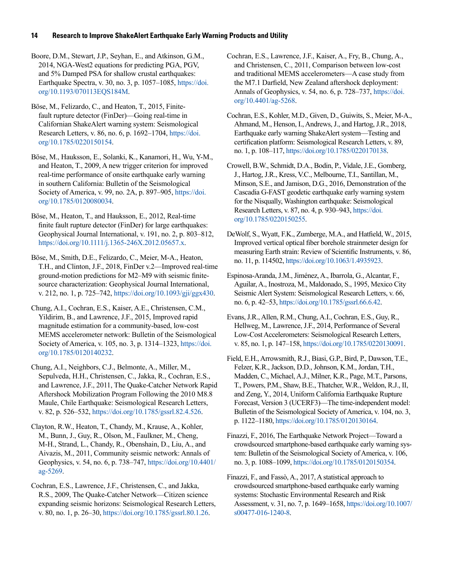Boore, D.M., Stewart, J.P., Seyhan, E., and Atkinson, G.M., 2014, NGA-West2 equations for predicting PGA, PGV, and 5% Damped PSA for shallow crustal earthquakes: Earthquake Spectra, v. 30, no. 3, p. 1057–1085, https://doi. org/10.1193/070113EQS184M.

Böse, M., Felizardo, C., and Heaton, T., 2015, Finitefault rupture detector (FinDer)—Going real-time in Californian ShakeAlert warning system: Seismological Research Letters, v. 86, no. 6, p. 1692–1704, https://doi. org/10.1785/0220150154.

Böse, M., Hauksson, E., Solanki, K., Kanamori, H., Wu, Y-M., and Heaton, T., 2009, A new trigger criterion for improved real-time performance of onsite earthquake early warning in southern California: Bulletin of the Seismological Society of America, v. 99, no. 2A, p. 897–905, https://doi. org/10.1785/0120080034.

Böse, M., Heaton, T., and Hauksson, E., 2012, Real-time finite fault rupture detector (FinDer) for large earthquakes: Geophysical Journal International, v. 191, no. 2, p. 803–812, https://doi.org/10.1111/j.1365-246X.2012.05657.x.

Böse, M., Smith, D.E., Felizardo, C., Meier, M-A., Heaton, T.H., and Clinton, J.F., 2018, FinDer v.2—Improved real-time ground-motion predictions for M2–M9 with seismic finitesource characterization: Geophysical Journal International, v. 212, no. 1, p. 725–742, https://doi.org/10.1093/gji/ggx430.

Chung, A.I., Cochran, E.S., Kaiser, A.E., Christensen, C.M., Yildirim, B., and Lawrence, J.F., 2015, Improved rapid magnitude estimation for a community-based, low-cost MEMS accelerometer network: Bulletin of the Seismological Society of America, v. 105, no. 3, p. 1314–1323, https://doi. org/10.1785/0120140232.

Chung, A.I., Neighbors, C.J., Belmonte, A., Miller, M., Sepulveda, H.H., Christensen, C., Jakka, R., Cochran, E.S., and Lawrence, J.F., 2011, The Quake-Catcher Network Rapid Aftershock Mobilization Program Following the 2010 M8.8 Maule, Chile Earthquake: Seismological Research Letters, v. 82, p. 526–532, https://doi.org/10.1785/gssrl.82.4.526.

Clayton, R.W., Heaton, T., Chandy, M., Krause, A., Kohler, M., Bunn, J., Guy, R., Olson, M., Faulkner, M., Cheng, M-H., Strand, L., Chandy, R., Obenshain, D., Liu, A., and Aivazis, M., 2011, Community seismic network: Annals of Geophysics, v. 54, no. 6, p. 738–747, https://doi.org/10.4401/ ag-5269.

Cochran, E.S., Lawrence, J.F., Christensen, C., and Jakka, R.S., 2009, The Quake-Catcher Network—Citizen science expanding seismic horizons: Seismological Research Letters, v. 80, no. 1, p. 26–30, https://doi.org/10.1785/gssrl.80.1.26.

Cochran, E.S., Lawrence, J.F., Kaiser, A., Fry, B., Chung, A., and Christensen, C., 2011, Comparison between low-cost and traditional MEMS accelerometers—A case study from the M7.1 Darfield, New Zealand aftershock deployment: Annals of Geophysics, v. 54, no. 6, p. 728–737, https://doi. org/10.4401/ag-5268.

Cochran, E.S., Kohler, M.D., Given, D., Guiwits, S., Meier, M-A., Ahmand, M., Henson, I., Andrews, J., and Hartog, J.R., 2018, Earthquake early warning ShakeAlert system—Testing and certification platform: Seismological Research Letters, v. 89, no. 1, p. 108–117, https://doi.org/10.1785/0220170138.

Crowell, B.W., Schmidt, D.A., Bodin, P., Vidale, J.E., Gomberg, J., Hartog, J.R., Kress, V.C., Melbourne, T.I., Santillan, M., Minson, S.E., and Jamison, D.G., 2016, Demonstration of the Cascadia G-FAST geodetic earthquake early warning system for the Nisqually, Washington earthquake: Seismological Research Letters, v. 87, no. 4, p. 930–943, https://doi. org/10.1785/0220150255.

DeWolf, S., Wyatt, F.K., Zumberge, M.A., and Hatfield, W., 2015, Improved vertical optical fiber borehole strainmeter design for measuring Earth strain: Review of Scientific Instruments, v. 86, no. 11, p. 114502, https://doi.org/10.1063/1.4935923.

Espinosa-Aranda, J.M., Jiménez, A., Ibarrola, G., Alcantar, F., Aguilar, A., Inostroza, M., Maldonado, S., 1995, Mexico City Seismic Alert System: Seismological Research Letters, v. 66, no. 6, p. 42–53, https://doi.org/10.1785/gssrl.66.6.42.

Evans, J.R., Allen, R.M., Chung, A.I., Cochran, E.S., Guy, R., Hellweg, M., Lawrence, J.F., 2014, Performance of Several Low-Cost Accelerometers: Seismological Research Letters, v. 85, no. 1, p. 147–158, https://doi.org/10.1785/0220130091.

Field, E.H., Arrowsmith, R.J., Biasi, G.P., Bird, P., Dawson, T.E., Felzer, K.R., Jackson, D.D., Johnson, K.M., Jordan, T.H., Madden, C., Michael, A.J., Milner, K.R., Page, M.T., Parsons, T., Powers, P.M., Shaw, B.E., Thatcher, W.R., Weldon, R.J., II, and Zeng, Y., 2014, Uniform California Earthquake Rupture Forecast, Version 3 (UCERF3)—The time-independent model: Bulletin of the Seismological Society of America, v. 104, no. 3, p. 1122–1180, https://doi.org/10.1785/0120130164.

Finazzi, F., 2016, The Earthquake Network Project—Toward a crowdsourced smartphone-based earthquake early warning system: Bulletin of the Seismological Society of America, v. 106, no. 3, p. 1088–1099, https://doi.org/10.1785/0120150354.

Finazzi, F., and Fassò, A., 2017, A statistical approach to crowdsourced smartphone-based earthquake early warning systems: Stochastic Environmental Research and Risk Assessment, v. 31, no. 7, p. 1649–1658, https://doi.org/10.1007/ s00477-016-1240-8.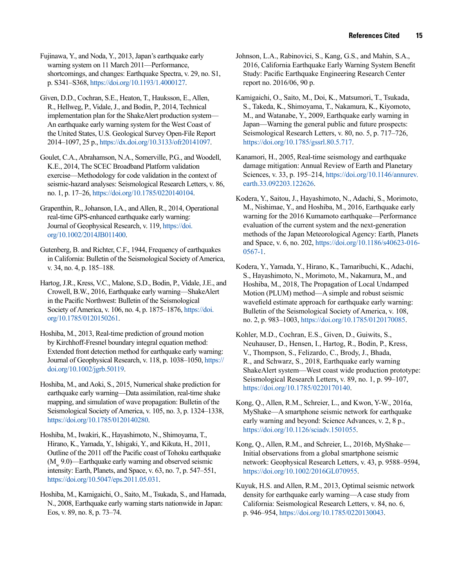Fujinawa, Y., and Noda, Y., 2013, Japan's earthquake early warning system on 11 March 2011—Performance, shortcomings, and changes: Earthquake Spectra, v. 29, no. S1, p. S341–S368, https://doi.org/10.1193/1.4000127.

Given, D.D., Cochran, S.E., Heaton, T., Hauksson, E., Allen, R., Hellweg, P., Vidale, J., and Bodin, P., 2014, Technical implementation plan for the ShakeAlert production system— An earthquake early warning system for the West Coast of the United States, U.S. Geological Survey Open-File Report 2014–1097, 25 p., https://dx.doi.org/10.3133/ofr20141097.

Goulet, C.A., Abrahamson, N.A., Somerville, P.G., and Woodell, K.E., 2014, The SCEC Broadband Platform validation exercise—Methodology for code validation in the context of seismic-hazard analyses: Seismological Research Letters, v. 86, no. 1, p. 17–26, https://doi.org/10.1785/0220140104.

Grapenthin, R., Johanson, I.A., and Allen, R., 2014, Operational real-time GPS-enhanced earthquake early warning: Journal of Geophysical Research, v. 119, https://doi. org/10.1002/2014JB011400.

Gutenberg, B. and Richter, C.F., 1944, Frequency of earthquakes in California: Bulletin of the Seismological Society of America, v. 34, no. 4, p. 185–188.

Hartog, J.R., Kress, V.C., Malone, S.D., Bodin, P., Vidale, J.E., and Crowell, B.W., 2016, Earthquake early warning—ShakeAlert in the Pacific Northwest: Bulletin of the Seismological Society of America, v. 106, no. 4, p. 1875–1876, https://doi. org/10.1785/0120150261.

Hoshiba, M., 2013, Real-time prediction of ground motion by Kirchhoff-Fresnel boundary integral equation method: Extended front detection method for earthquake early warning: Journal of Geophysical Research, v. 118, p. 1038–1050, https:// doi.org/10.1002/jgrb.50119.

Hoshiba, M., and Aoki, S., 2015, Numerical shake prediction for earthquake early warning—Data assimilation, real-time shake mapping, and simulation of wave propagation: Bulletin of the Seismological Society of America, v. 105, no. 3, p. 1324–1338, https://doi.org/10.1785/0120140280.

Hoshiba, M., Iwakiri, K., Hayashimoto, N., Shimoyama, T., Hirano, K., Yamada, Y., Ishigaki, Y., and Kikuta, H., 2011, Outline of the 2011 off the Pacific coast of Tohoku earthquake  $(M<sub>9.0</sub>)$ —Earthquake early warning and observed seismic intensity: Earth, Planets, and Space, v. 63, no. 7, p. 547–551, https://doi.org/10.5047/eps.2011.05.031.

Hoshiba, M., Kamigaichi, O., Saito, M., Tsukada, S., and Hamada, N., 2008, Earthquake early warning starts nationwide in Japan: Eos, v. 89, no. 8, p. 73–74.

Johnson, L.A., Rabinovici, S., Kang, G.S., and Mahin, S.A., 2016, California Earthquake Early Warning System Benefit Study: Pacific Earthquake Engineering Research Center report no. 2016/06, 90 p.

Kamigaichi, O., Saito, M., Doi, K., Matsumori, T., Tsukada, S., Takeda, K., Shimoyama, T., Nakamura, K., Kiyomoto, M., and Watanabe, Y., 2009, Earthquake early warning in Japan—Warning the general public and future prospects: Seismological Research Letters, v. 80, no. 5, p. 717–726, https://doi.org/10.1785/gssrl.80.5.717.

Kanamori, H., 2005, Real-time seismology and earthquake damage mitigation: Annual Review of Earth and Planetary Sciences, v. 33, p. 195–214, https://doi.org/10.1146/annurev. earth.33.092203.122626.

Kodera, Y., Saitou, J., Hayashimoto, N., Adachi, S., Morimoto, M., Nishimae, Y., and Hoshiba, M., 2016, Earthquake early warning for the 2016 Kumamoto earthquake—Performance evaluation of the current system and the next-generation methods of the Japan Meteorological Agency: Earth, Planets and Space, v. 6, no. 202, https://doi.org/10.1186/s40623-016- 0567-1.

Kodera, Y., Yamada, Y., Hirano, K., Tamaribuchi, K., Adachi, S., Hayashimoto, N., Morimoto, M., Nakamura, M., and Hoshiba, M., 2018, The Propagation of Local Undamped Motion (PLUM) method—A simple and robust seismic wavefield estimate approach for earthquake early warning: Bulletin of the Seismological Society of America, v. 108, no. 2, p. 983–1003, https://doi.org/10.1785/0120170085.

Kohler, M.D., Cochran, E.S., Given, D., Guiwits, S., Neuhauser, D., Hensen, I., Hartog, R., Bodin, P., Kress, V., Thompson, S., Felizardo, C., Brody, J., Bhada, R., and Schwarz, S., 2018, Earthquake early warning ShakeAlert system—West coast wide production prototype: Seismological Research Letters, v. 89, no. 1, p. 99–107, https://doi.org/10.1785/0220170140.

Kong, Q., Allen, R.M., Schreier, L., and Kwon, Y-W., 2016a, MyShake—A smartphone seismic network for earthquake early warning and beyond: Science Advances, v. 2, 8 p., https://doi.org/10.1126/sciadv.1501055.

Kong, Q., Allen, R.M., and Schreier, L., 2016b, MyShake— Initial observations from a global smartphone seismic network: Geophysical Research Letters, v. 43, p. 9588–9594, https://doi.org/10.1002/2016GL070955.

Kuyuk, H.S. and Allen, R.M., 2013, Optimal seismic network density for earthquake early warning—A case study from California: Seismological Research Letters, v. 84, no. 6, p. 946–954, https://doi.org/10.1785/0220130043.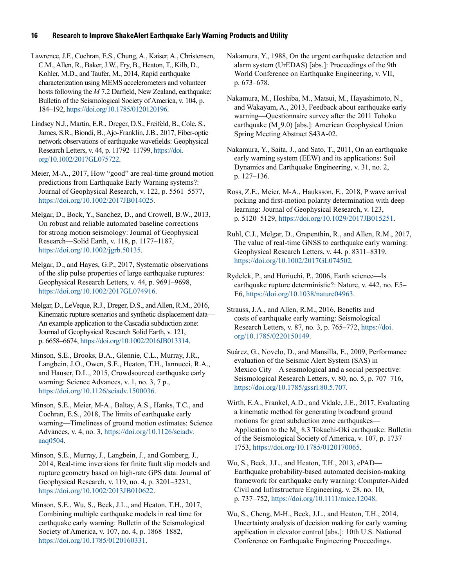Lawrence, J.F., Cochran, E.S., Chung, A., Kaiser, A., Christensen, C.M., Allen, R., Baker, J.W., Fry, B., Heaton, T., Kilb, D., Kohler, M.D., and Taufer, M., 2014, Rapid earthquake characterization using MEMS accelerometers and volunteer hosts following the *M* 7.2 Darfield, New Zealand, earthquake: Bulletin of the Seismological Society of America, v. 104, p. 184–192, https://doi.org/10.1785/0120120196.

Lindsey N.J., Martin, E.R., Dreger, D.S., Freifeld, B., Cole, S., James, S.R., Biondi, B., Ajo-Franklin, J.B., 2017, Fiber-optic network observations of earthquake wavefields: Geophysical Research Letters, v. 44, p. 11792–11799, https://doi. org/10.1002/2017GL075722.

Meier, M-A., 2017, How "good" are real-time ground motion predictions from Earthquake Early Warning systems?: Journal of Geophysical Research, v. 122, p. 5561–5577, https://doi.org/10.1002/2017JB014025.

Melgar, D., Bock, Y., Sanchez, D., and Crowell, B.W., 2013, On robust and reliable automated baseline corrections for strong motion seismology: Journal of Geophysical Research—Solid Earth, v. 118, p. 1177–1187, https://doi.org/10.1002/jgrb.50135.

Melgar, D., and Hayes, G.P., 2017, Systematic observations of the slip pulse properties of large earthquake ruptures: Geophysical Research Letters, v. 44, p. 9691–9698, https://doi.org/10.1002/2017GL074916.

Melgar, D., LeVeque, R.J., Dreger, D.S., and Allen, R.M., 2016, Kinematic rupture scenarios and synthetic displacement data— An example application to the Cascadia subduction zone: Journal of Geophysical Research Solid Earth, v. 121, p. 6658–6674, https://doi.org/10.1002/2016JB013314.

Minson, S.E., Brooks, B.A., Glennie, C.L., Murray, J.R., Langbein, J.O., Owen, S.E., Heaton, T.H., Iannucci, R.A., and Hauser, D.L., 2015, Crowdsourced earthquake early warning: Science Advances, v. 1, no. 3, 7 p., https://doi.org/10.1126/sciadv.1500036.

Minson, S.E., Meier, M-A., Baltay, A.S., Hanks, T.C., and Cochran, E.S., 2018, The limits of earthquake early warning—Timeliness of ground motion estimates: Science Advances, v. 4, no. 3, https://doi.org/10.1126/sciadv. aaq0504.

Minson, S.E., Murray, J., Langbein, J., and Gomberg, J., 2014, Real-time inversions for finite fault slip models and rupture geometry based on high-rate GPS data: Journal of Geophysical Research, v. 119, no. 4, p. 3201–3231, https://doi.org/10.1002/2013JB010622.

Minson, S.E., Wu, S., Beck, J.L., and Heaton, T.H., 2017, Combining multiple earthquake models in real time for earthquake early warning: Bulletin of the Seismological Society of America, v. 107, no. 4, p. 1868–1882, https://doi.org/10.1785/0120160331.

Nakamura, Y., 1988, On the urgent earthquake detection and alarm system (UrEDAS) [abs.]: Proceedings of the 9th World Conference on Earthquake Engineering, v. VII, p. 673–678.

Nakamura, M., Hoshiba, M., Matsui, M., Hayashimoto, N., and Wakayam, A., 2013, Feedback about earthquake early warning—Questionnaire survey after the 2011 Tohoku earthquake  $(M_w9.0)$  [abs.]: American Geophysical Union Spring Meeting Abstract S43A-02.

Nakamura, Y., Saita, J., and Sato, T., 2011, On an earthquake early warning system (EEW) and its applications: Soil Dynamics and Earthquake Engineering, v. 31, no. 2, p. 127–136.

Ross, Z.E., Meier, M-A., Hauksson, E., 2018, P wave arrival picking and first-motion polarity determination with deep learning: Journal of Geophysical Research, v. 123, p. 5120–5129, https://doi.org/10.1029/2017JB015251.

Ruhl, C.J., Melgar, D., Grapenthin, R., and Allen, R.M., 2017, The value of real-time GNSS to earthquake early warning: Geophysical Research Letters, v. 44, p. 8311–8319, https://doi.org/10.1002/2017GL074502.

Rydelek, P., and Horiuchi, P., 2006, Earth science—Is earthquake rupture deterministic?: Nature, v. 442, no. E5– E6, https://doi.org/10.1038/nature04963.

Strauss, J.A., and Allen, R.M., 2016, Benefits and costs of earthquake early warning: Seismological Research Letters, v. 87, no. 3, p. 765–772, https://doi. org/10.1785/0220150149.

Suárez, G., Novelo, D., and Mansilla, E., 2009, Performance evaluation of the Seismic Alert System (SAS) in Mexico City—A seismological and a social perspective: Seismological Research Letters, v. 80, no. 5, p. 707–716, https://doi.org/10.1785/gssrl.80.5.707.

Wirth, E.A., Frankel, A.D., and Vidale, J.E., 2017, Evaluating a kinematic method for generating broadband ground motions for great subduction zone earthquakes— Application to the M 8.3 Tokachi-Oki earthquake: Bulletin of the Seismological Society of America, v. 107, p. 1737– 1753, https://doi.org/10.1785/0120170065.

Wu, S., Beck, J.L., and Heaton, T.H., 2013, ePAD— Earthquake probability-based automated decision-making framework for earthquake early warning: Computer-Aided Civil and Infrastructure Engineering, v. 28, no. 10, p. 737–752, https://doi.org/10.1111/mice.12048.

Wu, S., Cheng, M-H., Beck, J.L., and Heaton, T.H., 2014, Uncertainty analysis of decision making for early warning application in elevator control [abs.]: 10th U.S. National Conference on Earthquake Engineering Proceedings.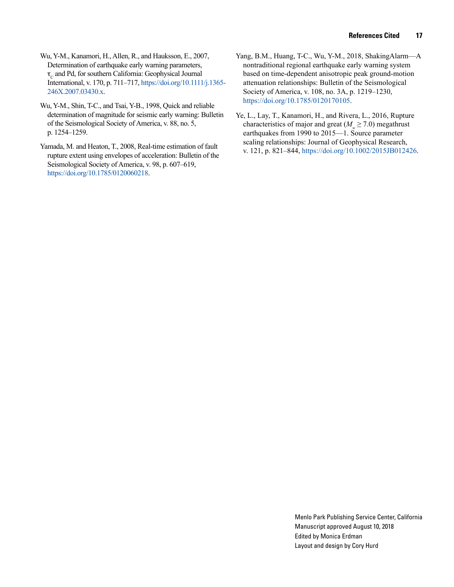- Wu, Y-M., Kanamori, H., Allen, R., and Hauksson, E., 2007, Determination of earthquake early warning parameters,  $\tau_c$  and Pd, for southern California: Geophysical Journal International, v. 170, p. 711–717, https://doi.org/10.1111/j.1365- 246X.2007.03430.x.
- Wu, Y-M., Shin, T-C., and Tsai, Y-B., 1998, Quick and reliable determination of magnitude for seismic early warning: Bulletin of the Seismological Society of America, v. 88, no. 5, p. 1254–1259.
- Yamada, M. and Heaton, T., 2008, Real-time estimation of fault rupture extent using envelopes of acceleration: Bulletin of the Seismological Society of America, v. 98, p. 607–619, https://doi.org/10.1785/0120060218.
- Yang, B.M., Huang, T-C., Wu, Y-M., 2018, ShakingAlarm—A nontraditional regional earthquake early warning system based on time-dependent anisotropic peak ground-motion attenuation relationships: Bulletin of the Seismological Society of America, v. 108, no. 3A, p. 1219–1230, https://doi.org/10.1785/0120170105.
- Ye, L., Lay, T., Kanamori, H., and Rivera, L., 2016, Rupture characteristics of major and great  $(M_e \ge 7.0)$  megathrust earthquakes from 1990 to 2015—1. Source parameter scaling relationships: Journal of Geophysical Research, v. 121, p. 821–844, https://doi.org/10.1002/2015JB012426.

Menlo Park Publishing Service Center, California Manuscript approved August 10, 2018 Edited by Monica Erdman Layout and design by Cory Hurd